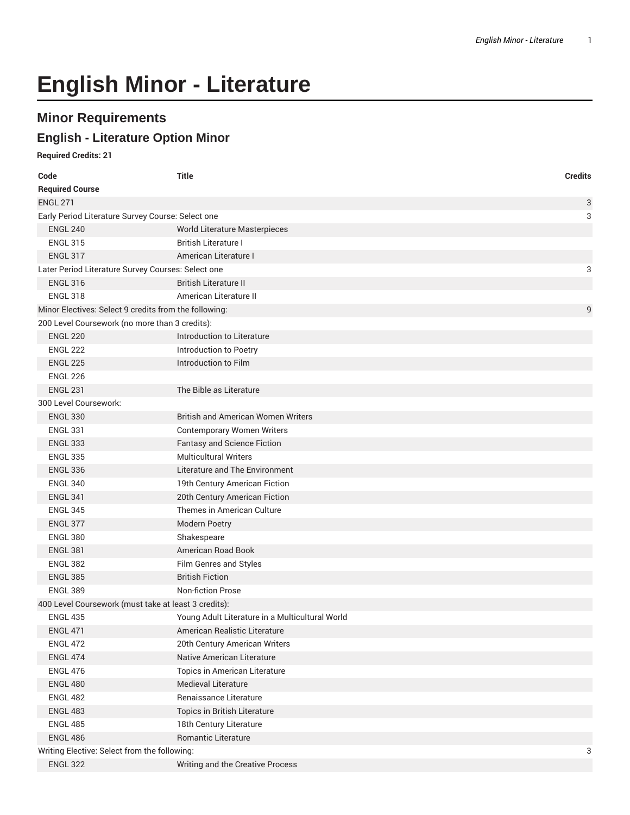# **English Minor - Literature**

## **Minor Requirements**

### **English - Literature Option Minor**

#### **Required Credits: 21**

| Code                                                    | <b>Title</b>                                    | <b>Credits</b> |  |
|---------------------------------------------------------|-------------------------------------------------|----------------|--|
| <b>Required Course</b>                                  |                                                 |                |  |
| <b>ENGL 271</b>                                         |                                                 | 3              |  |
| Early Period Literature Survey Course: Select one       |                                                 | 3              |  |
| <b>ENGL 240</b>                                         | World Literature Masterpieces                   |                |  |
| <b>ENGL 315</b>                                         | <b>British Literature I</b>                     |                |  |
| <b>ENGL 317</b>                                         | American Literature I                           |                |  |
| Later Period Literature Survey Courses: Select one<br>3 |                                                 |                |  |
| <b>ENGL 316</b>                                         | <b>British Literature II</b>                    |                |  |
| <b>ENGL 318</b>                                         | American Literature II                          |                |  |
| Minor Electives: Select 9 credits from the following:   |                                                 | 9              |  |
| 200 Level Coursework (no more than 3 credits):          |                                                 |                |  |
| <b>ENGL 220</b>                                         | Introduction to Literature                      |                |  |
| <b>ENGL 222</b>                                         | Introduction to Poetry                          |                |  |
| <b>ENGL 225</b>                                         | Introduction to Film                            |                |  |
| <b>ENGL 226</b>                                         |                                                 |                |  |
| <b>ENGL 231</b>                                         | The Bible as Literature                         |                |  |
| 300 Level Coursework:                                   |                                                 |                |  |
| <b>ENGL 330</b>                                         | <b>British and American Women Writers</b>       |                |  |
| <b>ENGL 331</b>                                         | <b>Contemporary Women Writers</b>               |                |  |
| <b>ENGL 333</b>                                         | <b>Fantasy and Science Fiction</b>              |                |  |
| <b>ENGL 335</b>                                         | <b>Multicultural Writers</b>                    |                |  |
| <b>ENGL 336</b>                                         | Literature and The Environment                  |                |  |
| <b>ENGL 340</b>                                         | 19th Century American Fiction                   |                |  |
| <b>ENGL 341</b>                                         | 20th Century American Fiction                   |                |  |
| <b>ENGL 345</b>                                         | Themes in American Culture                      |                |  |
| <b>ENGL 377</b>                                         | Modern Poetry                                   |                |  |
| <b>ENGL 380</b>                                         | Shakespeare                                     |                |  |
| <b>ENGL 381</b>                                         | American Road Book                              |                |  |
| <b>ENGL 382</b>                                         | Film Genres and Styles                          |                |  |
| <b>ENGL 385</b>                                         | <b>British Fiction</b>                          |                |  |
| <b>ENGL 389</b>                                         | <b>Non-fiction Prose</b>                        |                |  |
| 400 Level Coursework (must take at least 3 credits):    |                                                 |                |  |
| <b>ENGL 435</b>                                         | Young Adult Literature in a Multicultural World |                |  |
| <b>ENGL 471</b>                                         | American Realistic Literature                   |                |  |
| <b>ENGL 472</b>                                         | 20th Century American Writers                   |                |  |
| <b>ENGL 474</b>                                         | Native American Literature                      |                |  |
| <b>ENGL 476</b>                                         | Topics in American Literature                   |                |  |
| <b>ENGL 480</b>                                         | <b>Medieval Literature</b>                      |                |  |
| <b>ENGL 482</b>                                         | Renaissance Literature                          |                |  |
| <b>ENGL 483</b>                                         | Topics in British Literature                    |                |  |
| <b>ENGL 485</b>                                         | 18th Century Literature                         |                |  |
| <b>ENGL 486</b>                                         | Romantic Literature                             |                |  |
| Writing Elective: Select from the following:<br>3       |                                                 |                |  |
| <b>ENGL 322</b>                                         | Writing and the Creative Process                |                |  |